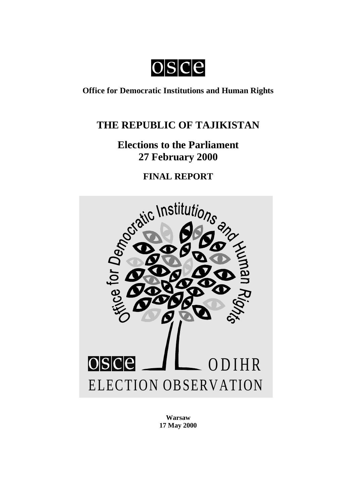osce

## **Office for Democratic Institutions and Human Rights**

# **THE REPUBLIC OF TAJIKISTAN**

# **Elections to the Parliament 27 February 2000**

**FINAL REPORT**



**Warsaw 17 May 2000**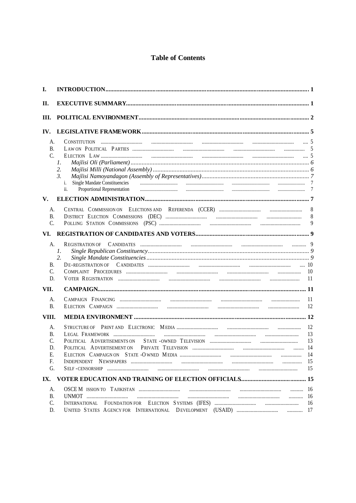## **Table of Contents**

| I.                                     |                                                                                                                                                                                                                                                                                                                     |                            |
|----------------------------------------|---------------------------------------------------------------------------------------------------------------------------------------------------------------------------------------------------------------------------------------------------------------------------------------------------------------------|----------------------------|
| П.                                     |                                                                                                                                                                                                                                                                                                                     |                            |
| Ш.                                     |                                                                                                                                                                                                                                                                                                                     |                            |
| IV.                                    |                                                                                                                                                                                                                                                                                                                     |                            |
| A.<br>B.<br>$\mathcal{C}$              | 1.<br>2.<br>$\mathfrak{Z}$ .<br><b>Single Mandate Constituencies</b><br>i.<br>Proportional Representation manufacture contains contain manufacture contains containing and a containing a manufacture of the containing and the containing and the containing and containing a containing a containing a con<br>ii. |                            |
| V.                                     |                                                                                                                                                                                                                                                                                                                     |                            |
| A.<br>B.<br>$\mathsf{C}$               |                                                                                                                                                                                                                                                                                                                     | 8<br>8<br>9                |
| VI.                                    |                                                                                                                                                                                                                                                                                                                     |                            |
| A.<br>В.<br>$\mathcal{C}$<br>D.        | REGISTRATION OF<br>1.<br>2.<br>… 10                                                                                                                                                                                                                                                                                 | 10<br>11                   |
| VII.                                   |                                                                                                                                                                                                                                                                                                                     |                            |
| A.<br><b>B.</b>                        |                                                                                                                                                                                                                                                                                                                     | 11<br>12                   |
| VIII.                                  |                                                                                                                                                                                                                                                                                                                     |                            |
| A.<br>В.<br>C.<br>D.<br>Е.<br>F.<br>G. | POLITICAL ADVERTISEMENTS ON                                                                                                                                                                                                                                                                                         | 12<br>13<br>13<br>14<br>15 |
| IX.                                    |                                                                                                                                                                                                                                                                                                                     |                            |
| A.<br><b>B.</b><br>C.<br>D.            |                                                                                                                                                                                                                                                                                                                     | -16                        |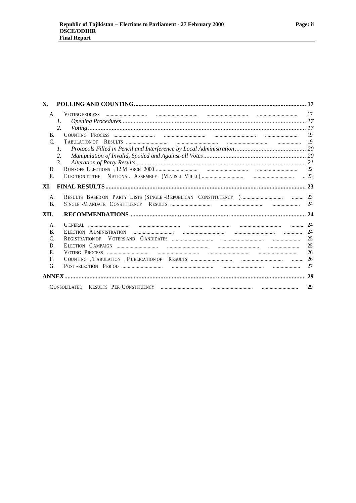| Х.           |                 |                 |
|--------------|-----------------|-----------------|
| A.           |                 |                 |
|              | $\mathcal{I}$ . |                 |
|              | 2.              |                 |
| $\mathbf{B}$ |                 |                 |
| $\mathsf{C}$ |                 |                 |
|              | $l_{\cdot}$     |                 |
|              | 2.              |                 |
|              | 3.              |                 |
| D.           |                 |                 |
| E.           |                 | $\therefore$ 23 |
|              |                 |                 |
| A.           |                 |                 |
| B.           |                 |                 |
|              |                 |                 |
| XII.         |                 |                 |
| A.           |                 |                 |
| B.           |                 |                 |
| C.           |                 |                 |
| D.           |                 |                 |
| E.           |                 |                 |
| F.           |                 |                 |
| G.           |                 | 27              |
|              |                 |                 |
|              |                 | 29              |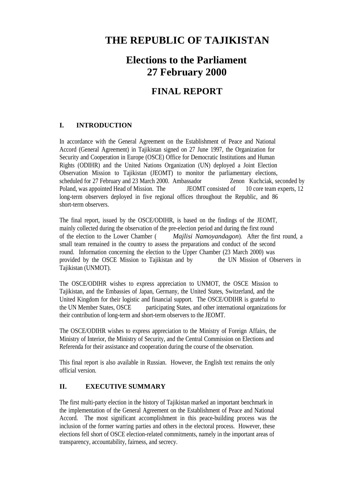# **THE REPUBLIC OF TAJIKISTAN**

# **Elections to the Parliament 27 February 2000**

## **FINAL REPORT**

## **I. INTRODUCTION**

In accordance with the General Agreement on the Establishment of Peace and National Accord (General Agreement) in Tajikistan signed on 27 June 1997, the Organization for Security and Cooperation in Europe (OSCE) Office for Democratic Institutions and Human Rights (ODIHR) and the United Nations Organization (UN) deployed a Joint Election Observation Mission to Tajikistan (JEOMT) to monitor the parliamentary elections, scheduled for 27 February and 23 March 2000. Ambassador Zenon Kuchciak, seconded by Poland, was appointed Head of Mission. The JEOMT consisted of 10 core team experts, 12 long-term observers deployed in five regional offices throughout the Republic, and 86 short-term observers.

The final report, issued by the OSCE/ODIHR, is based on the findings of the JEOMT, mainly collected during the observation of the pre-election period and during the first round of the election to the Lower Chamber ( *Majlisi Namoyandagon*). After the first round, a small team remained in the country to assess the preparations and conduct of the second round. Information concerning the election to the Upper Chamber (23 March 2000) was provided by the OSCE Mission to Tajikistan and by the UN Mission of Observers in Tajikistan (UNMOT).

The OSCE/ODIHR wishes to express appreciation to UNMOT, the OSCE Mission to Tajikistan, and the Embassies of Japan, Germany, the United States, Switzerland, and the United Kingdom for their logistic and financial support. The OSCE/ODIHR is grateful to the UN Member States, OSCE participating States, and other international organizations for their contribution of long-term and short-term observers to the JEOMT.

The OSCE/ODIHR wishes to express appreciation to the Ministry of Foreign Affairs, the Ministry of Interior, the Ministry of Security, and the Central Commission on Elections and Referenda for their assistance and cooperation during the course of the observation.

This final report is also available in Russian. However, the English text remains the only official version.

## **II. EXECUTIVE SUMMARY**

The first multi-party election in the history of Tajikistan marked an important benchmark in the implementation of the General Agreement on the Establishment of Peace and National Accord. The most significant accomplishment in this peace-building process was the inclusion of the former warring parties and others in the electoral process. However, these elections fell short of OSCE election-related commitments, namely in the important areas of transparency, accountability, fairness, and secrecy.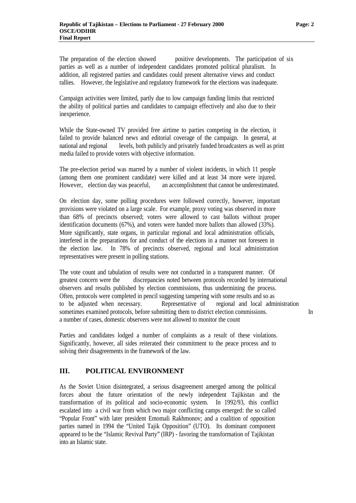The preparation of the election showed positive developments. The participation of six parties as well as a number of independent candidates promoted political pluralism. In addition, all registered parties and candidates could present alternative views and conduct rallies. However, the legislative and regulatory framework for the elections was inadequate.

Campaign activities were limited, partly due to low campaign funding limits that restricted the ability of political parties and candidates to campaign effectively and also due to their inexperience.

While the State-owned TV provided free airtime to parties competing in the election, it failed to provide balanced news and editorial coverage of the campaign. In general, at national and regional levels, both publicly and privately funded broadcasters as well as print media failed to provide voters with objective information.

The pre-election period was marred by a number of violent incidents, in which 11 people (among them one prominent candidate) were killed and at least 34 more were injured. However, election day was peaceful, an accomplishment that cannot be underestimated.

On election day, some polling procedures were followed correctly, however, important provisions were violated on a large scale. For example, proxy voting was observed in more than 68% of precincts observed; voters were allowed to cast ballots without proper identification documents (67%), and voters were handed more ballots than allowed (33%). More significantly, state organs, in particular regional and local administration officials, interfered in the preparations for and conduct of the elections in a manner not foreseen in the election law. In 78% of precincts observed, regional and local administration representatives were present in polling stations.

The vote count and tabulation of results were not conducted in a transparent manner. Of greatest concern were the discrepancies noted between protocols recorded by international observers and results published by election commissions, thus undermining the process. Often, protocols were completed in pencil suggesting tampering with some results and so as to be adjusted when necessary. Representative of regional and local administration sometimes examined protocols, before submitting them to district election commissions. In a number of cases, domestic observers were not allowed to monitor the count

Parties and candidates lodged a number of complaints as a result of these violations. Significantly, however, all sides reiterated their commitment to the peace process and to solving their disagreements in the framework of the law.

#### **III. POLITICAL ENVIRONMENT**

As the Soviet Union disintegrated, a serious disagreement amerged among the political forces about the future orientation of the newly independent Tajikistan and the transformation of its political and socio-economic system. In 1992/93, this conflict escalated into a civil war from which two major conflicting camps emerged: the so called "Popular Front" with later president Emomali Rakhmonov; and a coalition of opposition parties named in 1994 the "United Tajik Opposition" (UTO). Its dominant component appeared to be the "Islamic Revival Party" (IRP) - favoring the transformation of Tajikistan into an Islamic state.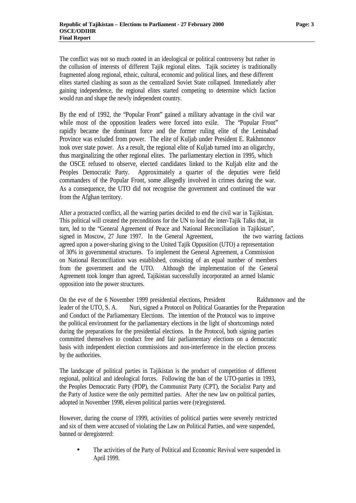The conflict was not so much rooted in an ideological or political controversy but rather in the collusion of interests of different Tajik regional elites. Tajik societey is traditionally fragmented along regional, ethnic, cultural, economic and political lines, and these different elites started clashing as soon as the centralized Soviet State collapsed. Immediately after gaining independence, the regional elites started competing to determine which faction would run and shape the newly independent country.

By the end of 1992, the "Popular Front" gained a military advantage in the civil war while most of the opposition leaders were forced into exile. The "Popular Front" rapidly became the dominant force and the former ruling elite of the Leninabad Province was exluded from power. The elite of Kuljab under President E. Rakhmonov took over state power. As a result, the regional elite of Kuljab turned into an oligarchy, thus marginalizing the other regional elites. The parliamentary election in 1995, which the OSCE refused to observe, elected candidates linked to the Kuljab elite and the Peoples Democratic Party. Approximately a quarter of the deputies were field commanders of the Popular Front, some allegedly involved in crimes during the war. As a consequence, the UTO did not recognise the government and continued the war from the Afghan territory.

After a protracted conflict, all the warring parties decided to end the civil war in Tajikistan. This political will created the preconditions for the UN to lead the inter-Tajik Talks that, in turn, led to the "General Agreement of Peace and National Reconciliation in Tajikistan", signed in Moscow, 27 June 1997. In the General Agreement, the two warring factions agreed upon a power-sharing giving to the United Tajik Opposition (UTO) a representation of 30% in governmental structures. To implement the General Agreement, a Commission on National Reconciliation was established, consisting of an equal number of members from the government and the UTO. Although the implementation of the General Agreement took longer than agreed, Tajikistan successfully incorporated an armed Islamic opposition into the power structures.

On the eve of the 6 November 1999 presidential elections, President Rakhmonov and the leader of the UTO, S. A. Nuri, signed a Protocol on Political Guaranties for the Preparation and Conduct of the Parliamentary Elections. The intention of the Protocol was to improve the political environment for the parliamentary elections in the light of shortcomings noted during the preparations for the presidential elections. In the Protocol, both signing parties committed themselves to conduct free and fair parliamentary elections on a democratic basis with independent election commissions and non-interference in the election process by the authorities.

The landscape of political parties in Tajikistan is the product of competition of different regional, political and ideological forces. Following the ban of the UTO-parties in 1993, the Peoples Democratic Party (PDP), the Communist Party (CPT), the Socialist Party and the Party of Justice were the only permitted parties. After the new law on political parties, adopted in November 1998, eleven political parties were (re)registered.

However, during the course of 1999, activities of political parties were severely restricted and six of them were accused of violating the Law on Political Parties, and were suspended, banned or deregistered:

The activities of the Party of Political and Economic Revival were suspended in April 1999.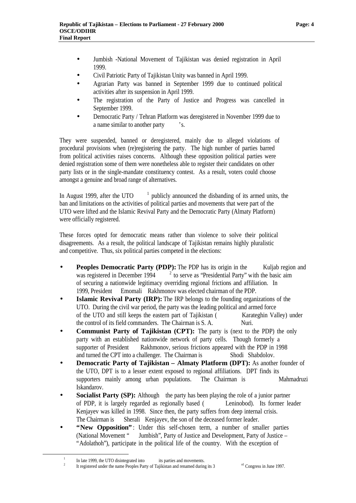- Jumbish -National Movement of Tajikistan was denied registration in April 1999.
- Civil Patriotic Party of Tajikistan Unity was banned in April 1999.
- Agrarian Party was banned in September 1999 due to continued political activities after its suspension in April 1999.
- The registration of the Party of Justice and Progress was cancelled in September 1999.
- Democratic Party / Tehran Platform was deregistered in November 1999 due to a name similar to another party 's.

They were suspended, banned or deregistered, mainly due to alleged violations of procedural provisions when (re)registering the party. The high number of parties barred from political activities raises concerns. Although these opposition political parties were denied registration some of them were nonetheless able to register their candidates on other party lists or in the single-mandate constituency contest. As a result, voters could choose amongst a genuine and broad range of alternatives.

In August 1999, after the UTO  $1$  publicly announced the disbanding of its armed units, the ban and limitations on the activities of political parties and movements that were part of the UTO were lifted and the Islamic Revival Party and the Democratic Party (Almaty Platform) were officially registered.

These forces opted for democratic means rather than violence to solve their political disagreements. As a result, the political landscape of Tajikistan remains highly pluralistic and competitive. Thus, six political parties competed in the elections:

- **Peoples Democratic Party (PDP):** The PDP has its origin in the Kuljab region and was registered in December 1994  $2$  to serve as 'Presidential Party' with the basic aim of securing a nationwide legitimacy overriding regional frictions and affiliation. In 1999, President Emomali Rakhmonov was elected chairman of the PDP.
- **Islamic Revival Party (IRP):** The IRP belongs to the founding organizations of the UTO. During the civil war period, the party was the leading political and armed force of the UTO and still keeps the eastern part of Tajikistan (Karateghin Valley) under the control of its field commanders. The Chairman is S. A. Nuri.
- **Communist Party of Tajikistan (CPT):** The party is (next to the PDP) the only party with an established nationwide network of party cells. Though formerly a supporter of President Rakhmonov, serious frictions appeared with the PDP in 1998 and turned the CPT into a challenger. The Chairman is Shodi Shabdolov.
- **Democratic Party of Tajikistan Almaty Platform (DPT):** As another founder of the UTO, DPT is to a lesser extent exposed to regional affiliations. DPT finds its supporters mainly among urban populations. The Chairman is Mahmadruzi Iskandarov.
- **Socialist Party (SP):** Although the party has been playing the role of a junior partner of PDP, it is largely regarded as regionally based ( Leninobod). Its former leader Kenjayev was killed in 1998. Since then, the party suffers from deep internal crisis. The Chairman is Sherali Kenjayev, the son of the deceased former leader.
- **"New Opposition"**: Under this self-chosen term, a number of smaller parties (National Movement " Jumbish", Party of Justice and Development, Party of Justice – "Adolathoh"), participate in the political life of the country. With the exception of

 $\overline{a}$ 

<sup>1</sup> In late 1999, the UTO disintegrated into its parties and movements. 2

It registered under the name Peoples Party of Tajikistan and renamed during its  $3$ <sup>rd</sup> Congress in June 1997.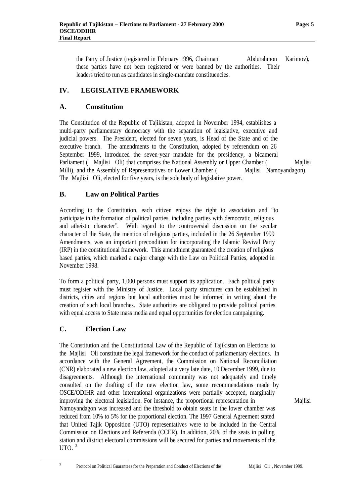the Party of Justice (registered in February 1996, Chairman Abdurahmon Karimov), these parties have not been registered or were banned by the authorities. Their leaders tried to run as candidates in single-mandate constituencies.

## **IV. LEGISLATIVE FRAMEWORK**

## **A. Constitution**

The Constitution of the Republic of Tajikistan, adopted in November 1994, establishes a multi-party parliamentary democracy with the separation of legislative, executive and judicial powers. The President, elected for seven years, is Head of the State and of the executive branch. The amendments to the Constitution, adopted by referendum on 26 September 1999, introduced the seven-year mandate for the presidency, a bicameral Parliament (Mailisi Oli) that comprises the National Assembly or Upper Chamber (Mailisi Milli), and the Assembly of Representatives or Lower Chamber (Majlisi Namoyandagon). The Majlisi Oli, elected for five years, is the sole body of legislative power.

## **B. Law on Political Parties**

According to the Constitution, each citizen enjoys the right to association and "to participate in the formation of political parties, including parties with democratic, religious and atheistic character". With regard to the controversial discussion on the secular character of the State, the mention of religious parties, included in the 26 September 1999 Amendments, was an important precondition for incorporating the Islamic Revival Party (IRP) in the constitutional framework. This amendment guaranteed the creation of religious based parties, which marked a major change with the Law on Political Parties, adopted in November 1998.

To form a political party, 1,000 persons must support its application. Each political party must register with the Ministry of Justice. Local party structures can be established in districts, cities and regions but local authorities must be informed in writing about the creation of such local branches. State authorities are obligated to provide political parties with equal access to State mass media and equal opportunities for election campaigning.

#### **C. Election Law**

The Constitution and the Constitutional Law of the Republic of Tajikistan on Elections to the Majlisi Oli constitute the legal framework for the conduct of parliamentary elections. In accordance with the General Agreement, the Commission on National Reconciliation (CNR) elaborated a new election law, adopted at a very late date, 10 December 1999, due to disagreements. Although the international community was not adequately and timely consulted on the drafting of the new election law, some recommendations made by OSCE/ODIHR and other international organizations were partially accepted, marginally improving the electoral legislation. For instance, the proportional representation in Majlisi Namoyandagon was increased and the threshold to obtain seats in the lower chamber was reduced from 10% to 5% for the proportional election. The 1997 General Agreement stated that United Tajik Opposition (UTO) representatives were to be included in the Central Commission on Elections and Referenda (CCER). In addition, 20% of the seats in polling station and district electoral commissions will be secured for parties and movements of the UTO.  $3$ 

3

 $\overline{a}$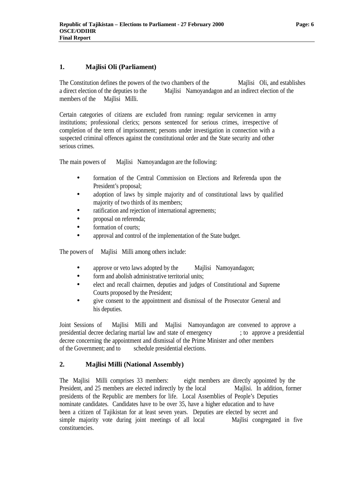## **1. Majlisi Oli (Parliament)**

The Constitution defines the powers of the two chambers of the Majlisi Oli, and establishes a direct election of the deputies to the Majlisi Namoyandagon and an indirect election of the members of the Majlisi Milli.

Certain categories of citizens are excluded from running: regular servicemen in army institutions; professional clerics; persons sentenced for serious crimes, irrespective of completion of the term of imprisonment; persons under investigation in connection with a suspected criminal offences against the constitutional order and the State security and other serious crimes.

The main powers of Majlisi Namoyandagon are the following:

- formation of the Central Commission on Elections and Referenda upon the President's proposal;
- adoption of laws by simple majority and of constitutional laws by qualified majority of two thirds of its members;
- ratification and rejection of international agreements;
- proposal on referenda;
- formation of courts:
- approval and control of the implementation of the State budget.

The powers of Majlisi Milli among others include:

- approve or veto laws adopted by the Majlisi Namoyandagon;
- form and abolish administrative territorial units;
- elect and recall chairmen, deputies and judges of Constitutional and Supreme Courts proposed by the President;
- give consent to the appointment and dismissal of the Prosecutor General and his deputies.

Joint Sessions of Majlisi Milli and Majlisi Namoyandagon are convened to approve a presidential decree declaring martial law and state of emergency ; to approve a presidential decree concerning the appointment and dismissal of the Prime Minister and other members of the Government; and to schedule presidential elections.

#### **2. Majlisi Milli (National Assembly)**

The Majlisi Milli comprises 33 members: eight members are directly appointed by the President, and 25 members are elected indirectly by the local Majlisi. In addition, former presidents of the Republic are members for life. Local Assemblies of People's Deputies nominate candidates. Candidates have to be over 35, have a higher education and to have been a citizen of Tajikistan for at least seven years. Deputies are elected by secret and simple majority vote during joint meetings of all local Majlisi congregated in five constituencies.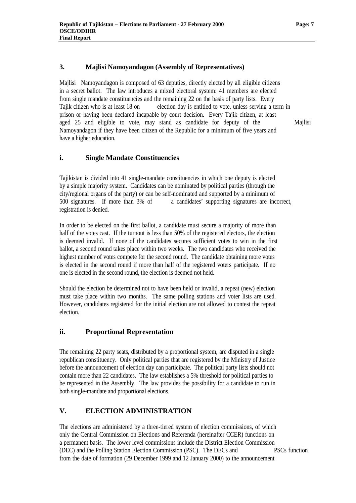#### **3. Majlisi Namoyandagon (Assembly of Representatives)**

Majlisi Namoyandagon is composed of 63 deputies, directly elected by all eligible citizens in a secret ballot. The law introduces a mixed electoral system: 41 members are elected from single mandate constituencies and the remaining 22 on the basis of party lists. Every Tajik citizen who is at least 18 on election day is entitled to vote, unless serving a term in prison or having been declared incapable by court decision. Every Tajik citizen, at least aged 25 and eligible to vote, may stand as candidate for deputy of the Majlisi Namoyandagon if they have been citizen of the Republic for a minimum of five years and have a higher education.

#### **i. Single Mandate Constituencies**

Tajikistan is divided into 41 single-mandate constituencies in which one deputy is elected by a simple majority system. Candidates can be nominated by political parties (through the city/regional organs of the party) or can be self-nominated and supported by a minimum of 500 signatures. If more than 3% of a candidates' supporting signatures are incorrect, registration is denied.

In order to be elected on the first ballot, a candidate must secure a majority of more than half of the votes cast. If the turnout is less than 50% of the registered electors, the election is deemed invalid. If none of the candidates secures sufficient votes to win in the first ballot, a second round takes place within two weeks. The two candidates who received the highest number of votes compete for the second round. The candidate obtaining more votes is elected in the second round if more than half of the registered voters participate. If no one is elected in the second round, the election is deemed not held.

Should the election be determined not to have been held or invalid, a repeat (new) election must take place within two months. The same polling stations and voter lists are used. However, candidates registered for the initial election are not allowed to contest the repeat election.

#### **ii. Proportional Representation**

The remaining 22 party seats, distributed by a proportional system, are disputed in a single republican constituency. Only political parties that are registered by the Ministry of Justice before the announcement of election day can participate. The political party lists should not contain more than 22 candidates. The law establishes a 5% threshold for political parties to be represented in the Assembly. The law provides the possibility for a candidate to run in both single-mandate and proportional elections.

#### **V. ELECTION ADMINISTRATION**

The elections are administered by a three-tiered system of election commissions, of which only the Central Commission on Elections and Referenda (hereinafter CCER) functions on a permanent basis. The lower level commissions include the District Election Commission (DEC) and the Polling Station Election Commission (PSC). The DECs and PSCs function from the date of formation (29 December 1999 and 12 January 2000) to the announcement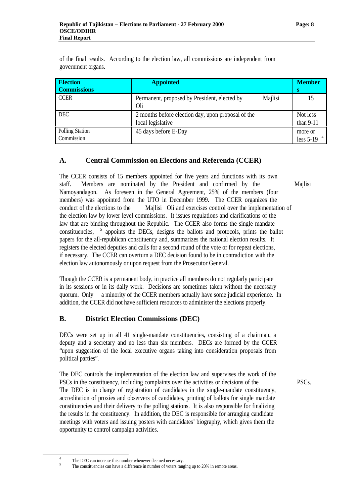of the final results. According to the election law, all commissions are independent from government organs.

| <b>Election</b><br><b>Commissions</b> | <b>Appointed</b>                                               | <b>Member</b>            |
|---------------------------------------|----------------------------------------------------------------|--------------------------|
|                                       |                                                                | s                        |
| <b>CCER</b>                           | Majlisi<br>Permanent, proposed by President, elected by<br>Oli | 15                       |
| <b>DEC</b>                            | 2 months before election day, upon proposal of the             | Not less                 |
|                                       | local legislative                                              | than $9-11$              |
| <b>Polling Station</b><br>Commission  | 45 days before E-Day                                           | more or<br>less 5-19 $4$ |

## **A. Central Commission on Elections and Referenda (CCER)**

The CCER consists of 15 members appointed for five years and functions with its own staff. Members are nominated by the President and confirmed by the Majlisi Namoyandagon. As foreseen in the General Agreement, 25% of the members (four members) was appointed from the UTO in December 1999. The CCER organizes the conduct of the elections to the Majlisi Oli and exercises control over the implementation of the election law by lower level commissions. It issues regulations and clarifications of the law that are binding throughout the Republic. The CCER also forms the single mandate constituencies, <sup>5</sup> appoints the DECs, designs the ballots and protocols, prints the ballot papers for the all-republican constituency and, summarizes the national election results. It registers the elected deputies and calls for a second round of the vote or for repeat elections, if necessary. The CCER can overturn a DEC decision found to be in contradiction with the election law autonomously or upon request from the Prosecutor General.

Though the CCER is a permanent body, in practice all members do not regularly participate in its sessions or in its daily work. Decisions are sometimes taken without the necessary quorum. Only a minority of the CCER members actually have some judicial experience. In addition, the CCER did not have sufficient resources to administer the elections properly.

## **B. District Election Commissions (DEC)**

DECs were set up in all 41 single-mandate constituencies, consisting of a chairman, a deputy and a secretary and no less than six members. DECs are formed by the CCER "upon suggestion of the local executive organs taking into consideration proposals from political parties".

The DEC controls the implementation of the election law and supervises the work of the PSCs in the constituency, including complaints over the activities or decisions of the PSCs. The DEC is in charge of registration of candidates in the single-mandate constituency, accreditation of proxies and observers of candidates, printing of ballots for single mandate constituencies and their delivery to the polling stations. It is also responsible for finalizing the results in the constituency. In addition, the DEC is responsible for arranging candidate meetings with voters and issuing posters with candidates' biography, which gives them the opportunity to control campaign activities.

 $\overline{a}$ 

<sup>4</sup> The DEC can increase this number whenever deemed necessary.

<sup>5</sup> The constituencies can have a difference in number of voters ranging up to 20% in remote areas.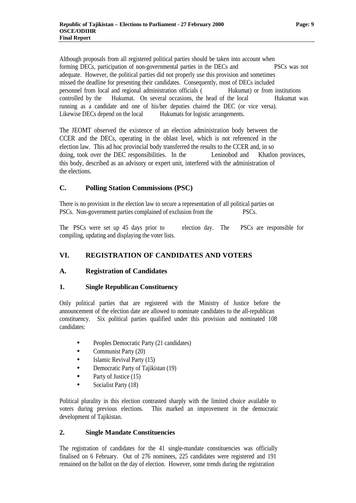Although proposals from all registered political parties should be taken into account when forming DECs, participation of non-governmental parties in the DECs and PSCs was not adequate. However, the political parties did not properly use this provision and sometimes missed the deadline for presenting their candidates. Consequently, most of DECs included personnel from local and regional administration officials ( Hukumat) or from institutions controlled by the Hukumat. On several occasions, the head of the local Hukumat was running as a candidate and one of his/her deputies chaired the DEC (or vice versa). Likewise DECs depend on the local Hukumats for logistic arrangements.

The JEOMT observed the existence of an election administration body between the CCER and the DECs, operating in the oblast level, which is not referenced in the election law. This ad hoc provincial body transferred the results to the CCER and, in so doing, took over the DEC responsibilities. In the Leninobod and Khatlon provinces, this body, described as an advisory or expert unit, interfered with the administration of the elections.

## **C. Polling Station Commissions (PSC)**

There is no provision in the election law to secure a representation of all political parties on PSCs. Non-government parties complained of exclusion from the PSCs.

The PSCs were set up 45 days prior to election day. The PSCs are responsible for compiling, updating and displaying the voter lists.

## **VI. REGISTRATION OF CANDIDATES AND VOTERS**

## **A. Registration of Candidates**

#### **1. Single Republican Constituency**

Only political parties that are registered with the Ministry of Justice before the announcement of the election date are allowed to nominate candidates to the all-republican constituency. Six political parties qualified under this provision and nominated 108 candidates:

- Peoples Democratic Party (21 candidates)
- Communist Party (20)
- Islamic Revival Party (15)
- Democratic Party of Tajikistan (19)
- Party of Justice (15)
- Socialist Party (18)

Political plurality in this election contrasted sharply with the limited choice available to voters during previous elections. This marked an improvement in the democratic development of Tajikistan.

#### **2. Single Mandate Constituencies**

The registration of candidates for the 41 single-mandate constituencies was officially finalised on 6 February. Out of 276 nominees, 225 candidates were registered and 191 remained on the ballot on the day of election. However, some trends during the registration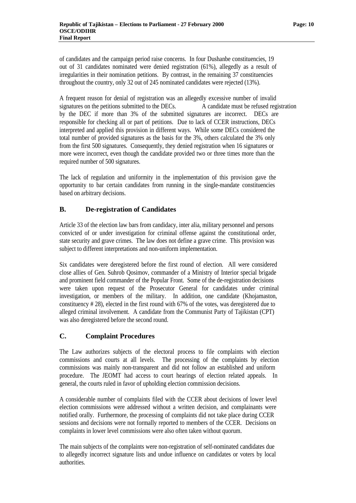of candidates and the campaign period raise concerns. In four Dushanbe constituencies, 19 out of 31 candidates nominated were denied registration (61%), allegedly as a result of irregularities in their nomination petitions. By contrast, in the remaining 37 constituencies throughout the country, only 32 out of 245 nominated candidates were rejected (13%).

A frequent reason for denial of registration was an allegedly excessive number of invalid signatures on the petitions submitted to the DECs. A candidate must be refused registration by the DEC if more than 3% of the submitted signatures are incorrect. DECs are responsible for checking all or part of petitions. Due to lack of CCER instructions, DECs interpreted and applied this provision in different ways. While some DECs considered the total number of provided signatures as the basis for the 3%, others calculated the 3% only from the first 500 signatures. Consequently, they denied registration when 16 signatures or more were incorrect, even though the candidate provided two or three times more than the required number of 500 signatures.

The lack of regulation and uniformity in the implementation of this provision gave the opportunity to bar certain candidates from running in the single-mandate constituencies based on arbitrary decisions.

## **B. De-registration of Candidates**

Article 33 of the election law bars from candidacy, inter alia, military personnel and persons convicted of or under investigation for criminal offense against the constitutional order, state security and grave crimes. The law does not define a grave crime. This provision was subject to different interpretations and non-uniform implementation.

Six candidates were deregistered before the first round of election. All were considered close allies of Gen. Suhrob Qosimov, commander of a Ministry of Interior special brigade and prominent field commander of the Popular Front. Some of the de-registration decisions were taken upon request of the Prosecutor General for candidates under criminal investigation, or members of the military. In addition, one candidate (Khojamaston, constituency # 28), elected in the first round with 67% of the votes, was deregistered due to alleged criminal involvement. A candidate from the Communist Party of Tajikistan (CPT) was also deregistered before the second round.

#### **C. Complaint Procedures**

The Law authorizes subjects of the electoral process to file complaints with election commissions and courts at all levels. The processing of the complaints by election commissions was mainly non-transparent and did not follow an established and uniform procedure. The JEOMT had access to court hearings of election related appeals. In general, the courts ruled in favor of upholding election commission decisions.

A considerable number of complaints filed with the CCER about decisions of lower level election commissions were addressed without a written decision, and complainants were notified orally. Furthermore, the processing of complaints did not take place during CCER sessions and decisions were not formally reported to members of the CCER. Decisions on complaints in lower level commissions were also often taken without quorum.

The main subjects of the complaints were non-registration of self-nominated candidates due to allegedly incorrect signature lists and undue influence on candidates or voters by local authorities.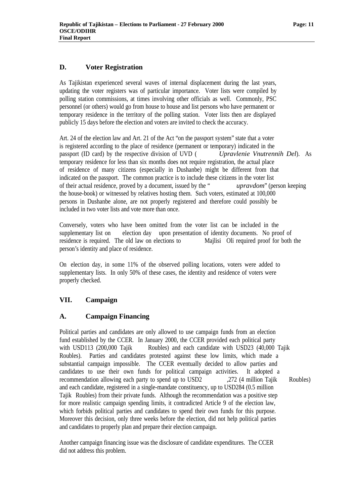#### **D. Voter Registration**

As Tajikistan experienced several waves of internal displacement during the last years, updating the voter registers was of particular importance. Voter lists were compiled by polling station commissions, at times involving other officials as well. Commonly, PSC personnel (or others) would go from house to house and list persons who have permanent or temporary residence in the territory of the polling station. Voter lists then are displayed publicly 15 days before the election and voters are invited to check the accuracy.

Art. 24 of the election law and Art. 21 of the Act "on the passport system" state that a voter is registered according to the place of residence (permanent or temporary) indicated in the passport (ID card) by the respective division of UVD ( *Upravlenie Vnutrennih Del*). As temporary residence for less than six months does not require registration, the actual place of residence of many citizens (especially in Dushanbe) might be different from that indicated on the passport. The common practice is to include these citizens in the voter list of their actual residence, proved by a document, issued by the " *upravdom*" (person keeping the house-book) or witnessed by relatives hosting them. Such voters, estimated at 100,000 persons in Dushanbe alone, are not properly registered and therefore could possibly be included in two voter lists and vote more than once.

Conversely, voters who have been omitted from the voter list can be included in the supplementary list on election day upon presentation of identity documents. No proof of residence is required. The old law on elections to Majlisi Oli required proof for both the person's identity and place of residence.

On election day, in some 11% of the observed polling locations, voters were added to supplementary lists. In only 50% of these cases, the identity and residence of voters were properly checked.

#### **VII. Campaign**

#### **A. Campaign Financing**

Political parties and candidates are only allowed to use campaign funds from an election fund established by the CCER. In January 2000, the CCER provided each political party with USD113 (200,000 Tajik Roubles) and each candidate with USD23 (40,000 Tajik Roubles). Parties and candidates protested against these low limits, which made a substantial campaign impossible. The CCER eventually decided to allow parties and candidates to use their own funds for political campaign activities. It adopted a recommendation allowing each party to spend up to USD2 . 272 (4 million Tajik Roubles) and each candidate, registered in a single-mandate constituency, up to USD284 (0.5 million Tajik Roubles) from their private funds. Although the recommendation was a positive step for more realistic campaign spending limits, it contradicted Article 9 of the election law, which forbids political parties and candidates to spend their own funds for this purpose. Moreover this decision, only three weeks before the election, did not help political parties and candidates to properly plan and prepare their election campaign.

Another campaign financing issue was the disclosure of candidate expenditures. The CCER did not address this problem.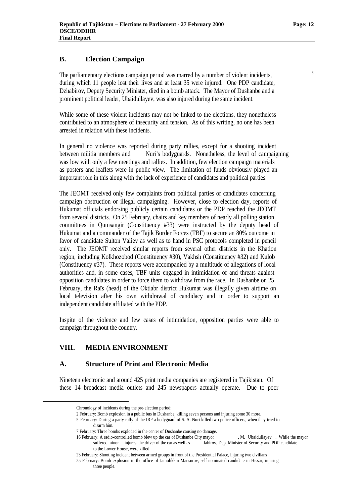#### **B. Election Campaign**

The parliamentary elections campaign period was marred by a number of violent incidents, during which 11 people lost their lives and at least 35 were injured. One PDP candidate, Dzhabirov, Deputy Security Minister, died in a bomb attack. The Mayor of Dushanbe and a prominent political leader, Ubaidullayev, was also injured during the same incident.

While some of these violent incidents may not be linked to the elections, they nonetheless contributed to an atmosphere of insecurity and tension. As of this writing, no one has been arrested in relation with these incidents.

In general no violence was reported during party rallies, except for a shooting incident between militia members and Nuri's bodyguards. Nonetheless, the level of campaigning was low with only a few meetings and rallies. In addition, few election campaign materials as posters and leaflets were in public view. The limitation of funds obviously played an important role in this along with the lack of experience of candidates and political parties.

The JEOMT received only few complaints from political parties or candidates concerning campaign obstruction or illegal campaigning. However, close to election day, reports of Hukumat officials endorsing publicly certain candidates or the PDP reached the JEOMT from several districts. On 25 February, chairs and key members of nearly all polling station committees in Qumsangir (Constituency #33) were instructed by the deputy head of Hukumat and a commander of the Tajik Border Forces (TBF) to secure an 80% outcome in favor of candidate Sulton Valiev as well as to hand in PSC protocols completed in pencil only. The JEOMT received similar reports from several other districts in the Khatlon region, including Kolkhozobod (Constituency #30), Vakhsh (Constituency #32) and Kulob (Constituency #37). These reports were accompanied by a multitude of allegations of local authorities and, in some cases, TBF units engaged in intimidation of and threats against opposition candidates in order to force them to withdraw from the race. In Dushanbe on 25 February, the Raïs (head) of the Oktiabr district Hukumat was illegally given airtime on local television after his own withdrawal of candidacy and in order to support an independent candidate affiliated with the PDP.

Inspite of the violence and few cases of intimidation, opposition parties were able to campaign throughout the country.

#### **VIII. MEDIA ENVIRONMENT**

#### **A. Structure of Print and Electronic Media**

Nineteen electronic and around 425 print media companies are registered in Tajikistan. Of these 14 broadcast media outlets and 245 newspapers actually operate. Due to poor

 $\overline{a}$ 

6

2 February: Bomb explosion in a public bus in Dushanbe, killing seven persons and injuring some 30 more. 5 February: During a party rally of the IRP a bodyguard of S. A. Nuri killed two police officers, when they tried to disarm him.

suffered minor injures, the driver of the car as well as Jabirov, Dep. Minister of Security and PDP candidate to the Lower House, were killed.

Chronology of incidents during the pre-election period:

<sup>7</sup> February: Three bombs exploded in the center of Dushanbe causing no damage.

<sup>16</sup> February: A radio-controlled bomb blew up the car of Dushanbe City mayor , M. Ubaidullayev . While the mayor

<sup>23</sup> February: Shooting incident between armed groups in front of the Presidential Palace, injuring two civilians

<sup>25</sup> February: Bomb explosion in the office of Jamolikkin Mansurov, self-nominated candidate in Hissar, injuring three people.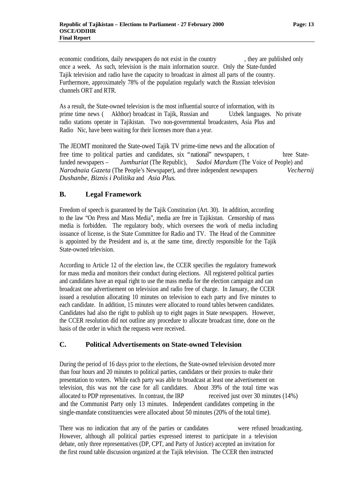economic conditions, daily newspapers do not exist in the country , they are published only once a week. As such, television is the main information source. Only the State-funded Tajik television and radio have the capacity to broadcast in almost all parts of the country. Furthermore, approximately 78% of the population regularly watch the Russian television channels ORT and RTR.

As a result, the State-owned television is the most influential source of information, with its prime time news ( Akhbor) broadcast in Tajik, Russian and Uzbek languages. No private radio stations operate in Tajikistan. Two non-governmental broadcasters, Asia Plus and Radio Nic, have been waiting for their licenses more than a year.

The JEOMT monitored the State-owed Tajik TV prime-time news and the allocation of free time to political parties and candidates, six "national" newspapers, t hree Statefunded newspapers – *Jumhuriat* (The Republic), *Sadoi Mardum* (The Voice of People) and *Narodnaia Gazeta* (The People's Newspaper), and three independent newspapers *Vechernij Dushanbe*, *Biznis i Politika* and *Asia Plus.*

## **B. Legal Framework**

Freedom of speech is guaranteed by the Tajik Constitution (Art. 30). In addition, according to the law "On Press and Mass Media", media are free in Tajikistan. Censorship of mass media is forbidden. The regulatory body, which oversees the work of media including issuance of license, is the State Committee for Radio and TV. The Head of the Committee is appointed by the President and is, at the same time, directly responsible for the Tajik State-owned television.

According to Article 12 of the election law, the CCER specifies the regulatory framework for mass media and monitors their conduct during elections. All registered political parties and candidates have an equal right to use the mass media for the election campaign and can broadcast one advertisement on television and radio free of charge. In January, the CCER issued a resolution allocating 10 minutes on television to each party and five minutes to each candidate. In addition, 15 minutes were allocated to round tables between candidates. Candidates had also the right to publish up to eight pages in State newspapers. However, the CCER resolution did not outline any procedure to allocate broadcast time, done on the basis of the order in which the requests were received.

#### **C. Political Advertisements on State-owned Television**

During the period of 16 days prior to the elections, the State-owned television devoted more than four hours and 20 minutes to political parties, candidates or their proxies to make their presentation to voters. While each party was able to broadcast at least one advertisement on television, this was not the case for all candidates. About 39% of the total time was allocated to PDP representatives. In contrast, the IRP received just over 30 minutes (14%) and the Communist Party only 13 minutes. Independent candidates competing in the single-mandate constituencies were allocated about 50 minutes (20% of the total time).

There was no indication that any of the parties or candidates were refused broadcasting. However, although all political parties expressed interest to participate in a television debate, only three representatives (DP, CPT, and Party of Justice) accepted an invitation for the first round table discussion organized at the Tajik television. The CCER then instructed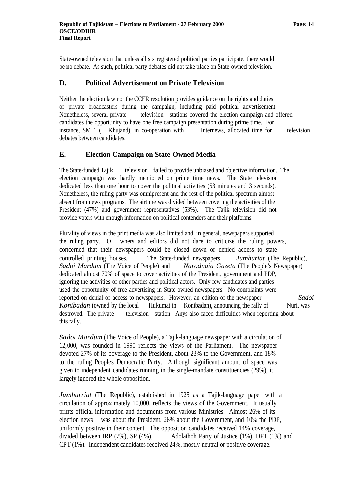State-owned television that unless all six registered political parties participate, there would be no debate. As such, political party debates did not take place on State-owned television.

#### **D. Political Advertisement on Private Television**

Neither the election law nor the CCER resolution provides guidance on the rights and duties of private broadcasters during the campaign, including paid political advertisement. Nonetheless, several private television stations covered the election campaign and offered candidates the opportunity to have one free campaign presentation during prime time. For instance, SM 1 ( Khujand), in co-operation with Internews, allocated time for television debates between candidates.

#### **E. Election Campaign on State-Owned Media**

The State-funded Tajik television failed to provide unbiased and objective information. The election campaign was hardly mentioned on prime time news. The State television dedicated less than one hour to cover the political activities (53 minutes and 3 seconds). Nonetheless, the ruling party was omnipresent and the rest of the political spectrum almost absent from news programs. The airtime was divided between covering the activities of the President (47%) and government representatives (53%). The Tajik television did not provide voters with enough information on political contenders and their platforms.

Plurality of views in the print media was also limited and, in general, newspapers supported the ruling party. O wners and editors did not dare to criticize the ruling powers, concerned that their newspapers could be closed down or denied access to statecontrolled printing houses. The State-funded newspapers *Jumhuriat* (The Republic), *Sadoi Mardum* (The Voice of People) and *Narodnaia Gazeta* (The People's Newspaper) dedicated almost 70% of space to cover activities of the President, government and PDP, ignoring the activities of other parties and political actors. Only few candidates and parties used the opportunity of free advertising in State-owned newspapers. No complaints were reported on denial of access to newspapers. However, an edition of the newspaper *Sadoi Konibadan* (owned by the local Hukumat in Konibadan), announcing the rally of Nuri, was destroyed. The private television station Anys also faced difficulties when reporting about this rally.

*Sadoi Mardum* (The Voice of People), a Tajik-language newspaper with a circulation of 12,000, was founded in 1990 reflects the views of the Parliament. The newspaper devoted 27% of its coverage to the President, about 23% to the Government, and 18% to the ruling Peoples Democratic Party. Although significant amount of space was given to independent candidates running in the single-mandate constituencies (29%), it largely ignored the whole opposition.

*Jumhurriat* (The Republic), established in 1925 as a Tajik-language paper with a circulation of approximately 10,000, reflects the views of the Government. It usually prints official information and documents from various Ministries. Almost 26% of its election news was about the President, 26% about the Government, and 10% the PDP, uniformly positive in their content. The opposition candidates received 14% coverage, divided between IRP (7%), SP (4%), Adolathoh Party of Justice (1%), DPT (1%) and CPT (1%). Independent candidates received 24%, mostly neutral or positive coverage.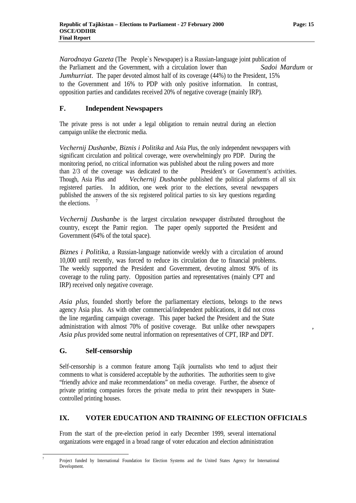*Narodnaya Gazeta* (The People`s Newspaper) is a Russian-language joint publication of the Parliament and the Government, with a circulation lower than *Sadoi Mardum* or *Jumhurriat*. The paper devoted almost half of its coverage (44%) to the President, 15% to the Government and 16% to PDP with only positive information. In contrast, opposition parties and candidates received 20% of negative coverage (mainly IRP).

## **F. Independent Newspapers**

The private press is not under a legal obligation to remain neutral during an election campaign unlike the electronic media.

*Vechernij Dushanbe*, *Biznis i Politika* and Asia Plus, the only independent newspapers with significant circulation and political coverage, were overwhelmingly pro PDP. During the monitoring period, no critical information was published about the ruling powers and more than 2/3 of the coverage was dedicated to the President's or Government's activities. Though, Asia Plus and *Vechernij Dushanbe* published the political platforms of all six registered parties. In addition, one week prior to the elections, several newspapers published the answers of the six registered political parties to six key questions regarding the elections  $<sup>7</sup>$ </sup>

*Vechernij Dushanbe* is the largest circulation newspaper distributed throughout the country, except the Pamir region. The paper openly supported the President and Government (64% of the total space).

*Biznes i Politika*, a Russian-language nationwide weekly with a circulation of around 10,000 until recently, was forced to reduce its circulation due to financial problems. The weekly supported the President and Government, devoting almost 90% of its coverage to the ruling party. Opposition parties and representatives (mainly CPT and IRP) received only negative coverage.

*Asia plus*, founded shortly before the parliamentary elections, belongs to the news agency Asia plus. As with other commercial/independent publications, it did not cross the line regarding campaign coverage. This paper backed the President and the State administration with almost 70% of positive coverage. But unlike other newspapers *, Asia plus* provided some neutral information on representatives of CPT, IRP and DPT.

## **G. Self-censorship**

 $\overline{\phantom{a}}$ 7 Self-censorship is a common feature among Tajik journalists who tend to adjust their comments to what is considered acceptable by the authorities. The authorities seem to give "friendly advice and make recommendations" on media coverage. Further, the absence of private printing companies forces the private media to print their newspapers in Statecontrolled printing houses.

## **IX. VOTER EDUCATION AND TRAINING OF ELECTION OFFICIALS**

From the start of the pre-election period in early December 1999, several international organizations were engaged in a broad range of voter education and election administration

Project funded by International Foundation for Election Systems and the United States Agency for International Development.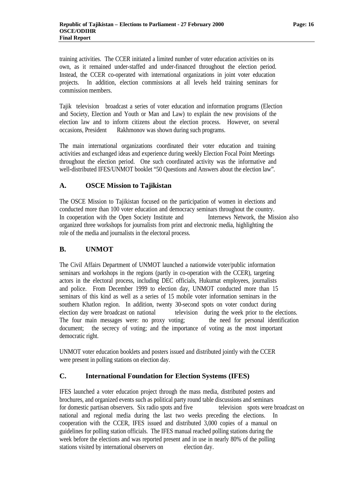training activities. The CCER initiated a limited number of voter education activities on its own, as it remained under-staffed and under-financed throughout the election period. Instead, the CCER co-operated with international organizations in joint voter education projects. In addition, election commissions at all levels held training seminars for commission members.

Tajik television broadcast a series of voter education and information programs (Election and Society, Election and Youth or Man and Law) to explain the new provisions of the election law and to inform citizens about the election process. However, on several occasions, President Rakhmonov was shown during such programs.

The main international organizations coordinated their voter education and training activities and exchanged ideas and experience during weekly Election Focal Point Meetings throughout the election period. One such coordinated activity was the informative and well-distributed IFES/UNMOT booklet "50 Questions and Answers about the election law".

#### **A. OSCE Mission to Tajikistan**

The OSCE Mission to Tajikistan focused on the participation of women in elections and conducted more than 100 voter education and democracy seminars throughout the country. In cooperation with the Open Society Institute and Internews Network, the Mission also organized three workshops for journalists from print and electronic media, highlighting the role of the media and journalists in the electoral process.

## **B. UNMOT**

The Civil Affairs Department of UNMOT launched a nationwide voter/public information seminars and workshops in the regions (partly in co-operation with the CCER), targeting actors in the electoral process, including DEC officials, Hukumat employees, journalists and police. From December 1999 to election day, UNMOT conducted more than 15 seminars of this kind as well as a series of 15 mobile voter information seminars in the southern Khatlon region. In addition, twenty 30-second spots on voter conduct during election day were broadcast on national television during the week prior to the elections. The four main messages were: no proxy voting; the need for personal identification document; the secrecy of voting; and the importance of voting as the most important democratic right.

UNMOT voter education booklets and posters issued and distributed jointly with the CCER were present in polling stations on election day.

## **C. International Foundation for Election Systems (IFES)**

IFES launched a voter education project through the mass media, distributed posters and brochures, and organized events such as political party round table discussions and seminars for domestic partisan observers. Six radio spots and five television spots were broadcast on national and regional media during the last two weeks preceding the elections. In cooperation with the CCER, IFES issued and distributed 3,000 copies of a manual on guidelines for polling station officials. The IFES manual reached polling stations during the week before the elections and was reported present and in use in nearly 80% of the polling stations visited by international observers on election day.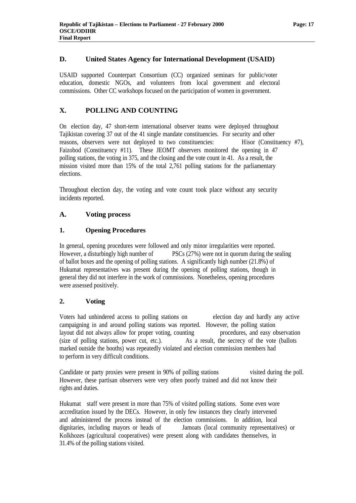## **D. United States Agency for International Development (USAID)**

USAID supported Counterpart Consortium (CC) organized seminars for public/voter education, domestic NGOs, and volunteers from local government and electoral commissions. Other CC workshops focused on the participation of women in government.

## **X. POLLING AND COUNTING**

On election day, 47 short-term international observer teams were deployed throughout Tajikistan covering 37 out of the 41 single mandate constituencies. For security and other reasons, observers were not deployed to two constituencies: Hisor (Constituency #7), Faizobod (Constituency #11). These JEOMT observers monitored the opening in 47 polling stations, the voting in 375, and the closing and the vote count in 41. As a result, the mission visited more than 15% of the total 2,761 polling stations for the parliamentary elections.

Throughout election day, the voting and vote count took place without any security incidents reported.

## **A. Voting process**

## **1. Opening Procedures**

In general, opening procedures were followed and only minor irregularities were reported. However, a disturbingly high number of PSCs (27%) were not in quorum during the sealing of ballot boxes and the opening of polling stations. A significantly high number (21.8%) of Hukumat representatives was present during the opening of polling stations, though in general they did not interfere in the work of commissions. Nonetheless, opening procedures were assessed positively.

#### **2. Voting**

Voters had unhindered access to polling stations on election day and hardly any active campaigning in and around polling stations was reported. However, the polling station layout did not always allow for proper voting, counting procedures, and easy observation (size of polling stations, power cut, etc.). As a result, the secrecy of the vote (ballots marked outside the booths) was repeatedly violated and election commission members had to perform in very difficult conditions.

Candidate or party proxies were present in 90% of polling stations visited during the poll. However, these partisan observers were very often poorly trained and did not know their rights and duties.

Hukumat staff were present in more than 75% of visited polling stations. Some even wore accreditation issued by the DECs. However, in only few instances they clearly intervened and administered the process instead of the election commissions. In addition, local dignitaries, including mayors or heads of Jamoats (local community representatives) or Kolkhozes (agricultural cooperatives) were present along with candidates themselves, in 31.4% of the polling stations visited.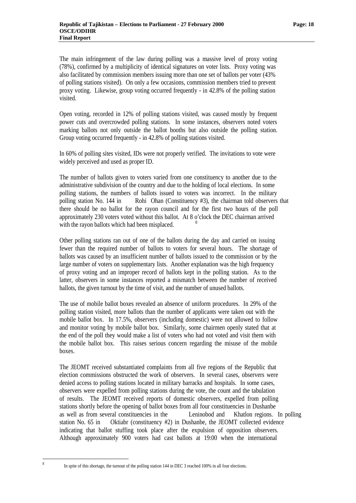The main infringement of the law during polling was a massive level of proxy voting (78%), confirmed by a multiplicity of identical signatures on voter lists. Proxy voting was also facilitated by commission members issuing more than one set of ballots per voter (43% of polling stations visited). On only a few occasions, commission members tried to prevent proxy voting. Likewise, group voting occurred frequently - in 42.8% of the polling station visited.

Open voting, recorded in 12% of polling stations visited, was caused mostly by frequent power cuts and overcrowded polling stations. In some instances, observers noted voters marking ballots not only outside the ballot booths but also outside the polling station. Group voting occurred frequently - in 42.8% of polling stations visited.

In 60% of polling sites visited, IDs were not properly verified. The invitations to vote were widely perceived and used as proper ID.

The number of ballots given to voters varied from one constituency to another due to the administrative subdivision of the country and due to the holding of local elections. In some polling stations, the numbers of ballots issued to voters was incorrect. In the military polling station No. 144 in Rohi Ohan (Constituency #3), the chairman told observers that there should be no ballot for the rayon council and for the first two hours of the poll approximately 230 voters voted without this ballot. At 8 o'clock the DEC chairman arrived with the rayon ballots which had been misplaced.

Other polling stations ran out of one of the ballots during the day and carried on issuing fewer than the required number of ballots to voters for several hours. The shortage of ballots was caused by an insufficient number of ballots issued to the commission or by the large number of voters on supplementary lists. Another explanation was the high frequency of proxy voting and an improper record of ballots kept in the polling station. As to the latter, observers in some instances reported a mismatch between the number of received ballots, the given turnout by the time of visit, and the number of unused ballots.

The use of mobile ballot boxes revealed an absence of uniform procedures. In 29% of the polling station visited, more ballots than the number of applicants were taken out with the mobile ballot box. In 17.5%, observers (including domestic) were not allowed to follow and monitor voting by mobile ballot box. Similarly, some chairmen openly stated that at the end of the poll they would make a list of voters who had not voted and visit them with the mobile ballot box. This raises serious concern regarding the misuse of the mobile boxes.

The JEOMT received substantiated complaints from all five regions of the Republic that election commissions obstructed the work of observers. In several cases, observers were denied access to polling stations located in military barracks and hospitals. In some cases, observers were expelled from polling stations during the vote, the count and the tabulation of results. The JEOMT received reports of domestic observers, expelled from polling stations shortly before the opening of ballot boxes from all four constituencies in Dushanbe as well as from several constituencies in the Leninobod and Khatlon regions. In polling station No. 65 in Oktiabr (constituency #2) in Dushanbe, the JEOMT collected evidence indicating that ballot stuffing took place after the expulsion of opposition observers. Although approximately 900 voters had cast ballots at 19:00 when the international

 $\frac{1}{8}$ 

In spite of this shortage, the turnout of the polling station 144 in DEC 3 reached 100% in all four elections.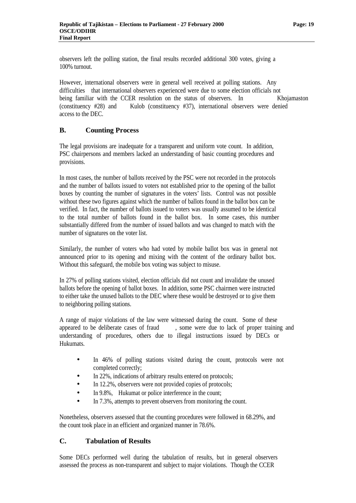observers left the polling station, the final results recorded additional 300 votes, giving a 100% turnout.

However, international observers were in general well received at polling stations. Any difficulties that international observers experienced were due to some election officials not being familiar with the CCER resolution on the status of observers. In Khojamaston (constituency #28) and Kulob (constituency #37), international observers were denied access to the DEC.

## **B. Counting Process**

The legal provisions are inadequate for a transparent and uniform vote count. In addition, PSC chairpersons and members lacked an understanding of basic counting procedures and provisions.

In most cases, the number of ballots received by the PSC were not recorded in the protocols and the number of ballots issued to voters not established prior to the opening of the ballot boxes by counting the number of signatures in the voters' lists. Control was not possible without these two figures against which the number of ballots found in the ballot box can be verified. In fact, the number of ballots issued to voters was usually assumed to be identical to the total number of ballots found in the ballot box. In some cases, this number substantially differed from the number of issued ballots and was changed to match with the number of signatures on the voter list.

Similarly, the number of voters who had voted by mobile ballot box was in general not announced prior to its opening and mixing with the content of the ordinary ballot box. Without this safeguard, the mobile box voting was subject to misuse.

In 27% of polling stations visited, election officials did not count and invalidate the unused ballots before the opening of ballot boxes. In addition, some PSC chairmen were instructed to either take the unused ballots to the DEC where these would be destroyed or to give them to neighboring polling stations.

A range of major violations of the law were witnessed during the count. Some of these appeared to be deliberate cases of fraud , some were due to lack of proper training and understanding of procedures, others due to illegal instructions issued by DECs or Hukumats.

- In 46% of polling stations visited during the count, protocols were not completed correctly;
- In 22%, indications of arbitrary results entered on protocols;
- In 12.2%, observers were not provided copies of protocols;
- In 9.8%, Hukumat or police interference in the count;
- In 7.3%, attempts to prevent observers from monitoring the count.

Nonetheless, observers assessed that the counting procedures were followed in 68.29%, and the count took place in an efficient and organized manner in 78.6%.

#### **C. Tabulation of Results**

Some DECs performed well during the tabulation of results, but in general observers assessed the process as non-transparent and subject to major violations. Though the CCER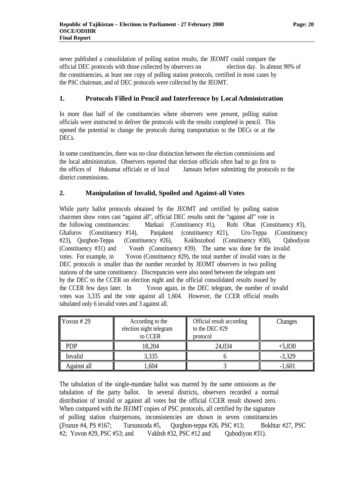never published a consolidation of polling station results, the JEOMT could compare the official DEC protocols with those collected by observers on election day. In almost 90% of the constituencies, at least one copy of polling station protocols, certified in most cases by the PSC chairman, and of DEC protocols were collected by the JEOMT.

## **1. Protocols Filled in Pencil and Interference by Local Administration**

In more than half of the constituencies where observers were present, polling station officials were instructed to deliver the protocols with the results completed in pencil. This opened the potential to change the protocols during transportation to the DECs or at the DEC<sub>s</sub>.

In some constituencies, there was no clear distinction between the election commissions and the local administration. Observers reported that election officials often had to go first to the offices of Hukumat officials or of local Jamoats before submitting the protocols to the district commissions.

#### **2. Manipulation of Invalid, Spoiled and Against-all Votes**

While party ballot protocols obtained by the JEOMT and certified by polling station chairmen show votes cast "against all", official DEC results omit the "against all" vote in the following constituencies: Markazi (Constituency #1), Rohi Ohan (Constituency #3), Ghafurov (Constituency #14), Panjakent (constituency #21), Uro-Teppa (Constituency #23), Qurghon-Teppa (Constituency #26), Kokhozobod (Constituency #30), Qabodiyon (Constituency #31) and Voseh (Constituency #39). The same was done for the invalid votes. For example, in Yovon (Constituency #29), the total number of invalid votes in the DEC protocols is smaller than the number recorded by JEOMT observers in two polling stations of the same constituency. Discrepancies were also noted between the telegram sent by the DEC to the CCER on election night and the official consolidated results issued by the CCER few days later. In Yovon again, in the DEC telegram, the number of invalid votes was 3,335 and the vote against all 1,604. However, the CCER official results tabulated only 6 invalid votes and 3 against all.

| $\sqrt{Y}$ Yovon #29 | According to the<br>election night telegram<br>to CCER | Official result according<br>to the DEC#29<br>protocol | Changes  |
|----------------------|--------------------------------------------------------|--------------------------------------------------------|----------|
| PDP                  | 18,204                                                 | 24,034                                                 | $+5,830$ |
| Invalid              | 3,335                                                  |                                                        | $-3,329$ |
| Against all          | 1,604                                                  |                                                        | $-1,601$ |

The tabulation of the single-mandate ballot was marred by the same omissions as the tabulation of the party ballot. In several districts, observers recorded a normal distribution of invalid or against all votes but the official CCER result showed zero. When compared with the JEOMT copies of PSC protocols, all certified by the signature of polling station chairpersons, inconsistencies are shown in seven constituencies (Frunze #4, PS #167; Tursunzoda #5, Qurghon-teppa #26, PSC #13; Bokhtar #27, PSC #2; Yovon #29, PSC #53; and Vakhsh #32, PSC #12 and Qabodiyon #31).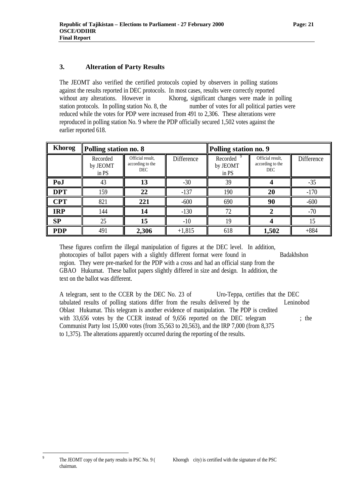## **3. Alteration of Party Results**

The JEOMT also verified the certified protocols copied by observers in polling stations against the results reported in DEC protocols. In most cases, results were correctly reported without any alterations. However in Khorog, significant changes were made in polling station protocols. In polling station No. 8, the number of votes for all political parties were reduced while the votes for PDP were increased from 491 to 2,306. These alterations were reproduced in polling station No. 9 where the PDP officially secured 1,502 votes against the earlier reported 618.

| <b>Khorog</b> | Polling station no. 8                                                        |       |                   | Polling station no. 9         |                                             |                   |  |
|---------------|------------------------------------------------------------------------------|-------|-------------------|-------------------------------|---------------------------------------------|-------------------|--|
|               | Official result,<br>Recorded<br>according to the<br>by JEOMT<br>DEC<br>in PS |       | <b>Difference</b> | Recorded<br>by JEOMT<br>in PS | Official result,<br>according to the<br>DEC | <b>Difference</b> |  |
| PoJ           | 43                                                                           | 13    | $-30$             | 39                            |                                             | $-35$             |  |
| <b>DPT</b>    | 159                                                                          | 22    | $-137$            | 190                           | 20                                          | $-170$            |  |
| <b>CPT</b>    | 821                                                                          | 221   | $-600$            | 690                           | 90                                          | $-600$            |  |
| <b>IRP</b>    | 144                                                                          | 14    | $-130$            | 72                            |                                             | $-70$             |  |
| SP            | 25                                                                           | 15    | $-10$             | 19                            |                                             | 15                |  |
| <b>PDP</b>    | 491                                                                          | 2,306 | $+1,815$          | 618                           | 1,502                                       | $+884$            |  |

These figures confirm the illegal manipulation of figures at the DEC level. In addition, photocopies of ballot papers with a slightly different format were found in Badakhshon region. They were pre-marked for the PDP with a cross and had an official stanp from the GBAO Hukumat. These ballot papers slightly differed in size and design. In addition, the text on the ballot was different.

A telegram, sent to the CCER by the DEC No. 23 of Uro-Teppa, certifies that the DEC tabulated results of polling stations differ from the results delivered by the Leninobod Oblast Hukumat. This telegram is another evidence of manipulation. The PDP is credited with 33,656 votes by the CCER instead of 9,656 reported on the DEC telegram ; the Communist Party lost 15,000 votes (from 35,563 to 20,563), and the IRP 7,000 (from 8,375 to 1,375). The alterations apparently occurred during the reporting of the results.

.<br>9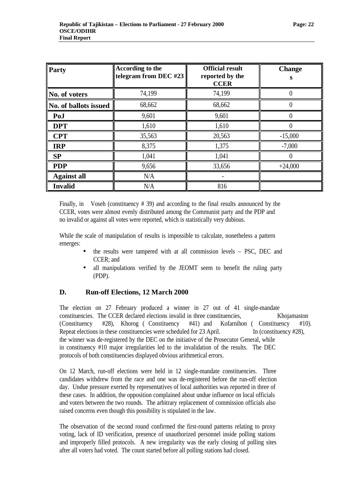| Party                 | According to the<br>telegram from DEC #23 | <b>Official result</b><br>reported by the<br><b>CCER</b> | <b>Change</b><br>S |
|-----------------------|-------------------------------------------|----------------------------------------------------------|--------------------|
| No. of voters         | 74,199                                    | 74,199                                                   | 0                  |
| No. of ballots issued | 68,662                                    | 68,662                                                   |                    |
| PoJ                   | 9,601                                     | 9,601                                                    | $\left( \right)$   |
| <b>DPT</b>            | 1,610                                     | 1,610                                                    |                    |
| <b>CPT</b>            | 35,563                                    | 20,563                                                   | $-15,000$          |
| <b>IRP</b>            | 8,375                                     | 1,375                                                    | $-7,000$           |
| SP                    | 1,041                                     | 1,041                                                    |                    |
| <b>PDP</b>            | 9,656                                     | 33,656                                                   | $+24,000$          |
| <b>Against all</b>    | N/A                                       |                                                          |                    |
| <b>Invalid</b>        | N/A                                       | 816                                                      |                    |

Finally, in Voseh (constituency # 39) and according to the final results announced by the CCER, votes were almost evenly distributed among the Communist party and the PDP and no invalid or against all votes were reported, which is statistically very dubious.

While the scale of manipulation of results is impossible to calculate, nonetheless a pattern emerges:

- the results were tampered with at all commission levels PSC, DEC and CCER; and
- all manipulations verified by the JEOMT seem to benefit the ruling party (PDP).

## **D. Run-off Elections, 12 March 2000**

The election on 27 February produced a winner in 27 out of 41 single-mandate constituencies. The CCER declared elections invalid in three constituencies, Khojamaston (Constituency #28), Khorog ( Constituency #41) and Kofarnihon ( Constituency #10). Repeat elections in these constituencies were scheduled for 23 April. In (constituency #28), the winner was de-registered by the DEC on the initiative of the Prosecutor General, while in constituency #10 major irregularities led to the invalidation of the results. The DEC protocols of both constituencies displayed obvious arithmetical errors.

On 12 March, run-off elections were held in 12 single-mandate constituencies. Three candidates withdrew from the race and one was de-registered before the run-off election day. Undue pressure exerted by representatives of local authorities was reported in three of these cases. In addition, the opposition complained about undue influence on local officials and voters between the two rounds. The arbitrary replacement of commission officials also raised concerns even though this possibility is stipulated in the law.

The observation of the second round confirmed the first-round patterns relating to proxy voting, lack of ID verification, presence of unauthorized personnel inside polling stations and improperly filled protocols. A new irregularity was the early closing of polling sites after all voters had voted. The count started before all polling stations had closed.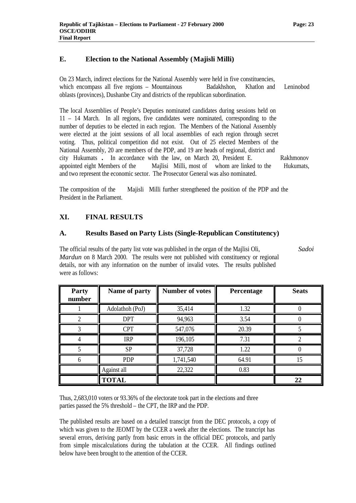## **E. Election to the National Assembly (Majisli Milli)**

On 23 March, indirect elections for the National Assembly were held in five constituencies, which encompass all five regions – Mountainous Badakhshon, Khatlon and Leninobod oblasts (provinces), Dushanbe City and districts of the republican subordination.

The local Assemblies of People's Deputies nominated candidates during sessions held on 11 – 14 March. In all regions, five candidates were nominated, corresponding to the number of deputies to be elected in each region. The Members of the National Assembly were elected at the joint sessions of all local assemblies of each region through secret voting. Thus, political competition did not exist. Out of 25 elected Members of the National Assembly, 20 are members of the PDP, and 19 are heads of regional, district and city Hukumats **.** In accordance with the law, on March 20, President E. Rakhmonov appointed eight Members of the Majlisi Milli, most of whom are linked to the Hukumats, and two represent the economic sector. The Prosecutor General was also nominated.

The composition of the Majisli Milli further strengthened the position of the PDP and the President in the Parliament.

## **XI. FINAL RESULTS**

## **A. Results Based on Party Lists (Single-Republican Constitutency)**

The official results of the party list vote was published in the organ of the Majlisi Oli, *Sadoi Mardun* on 8 March 2000. The results were not published with constituency or regional details, nor with any information on the number of invalid votes. The results published were as follows:

| Party<br>number | Name of party   | <b>Number of votes</b> | Percentage | <b>Seats</b> |
|-----------------|-----------------|------------------------|------------|--------------|
|                 | Adolathoh (PoJ) | 35,414                 | 1.32       |              |
|                 | <b>DPT</b>      | 94,963                 | 3.54       |              |
|                 | <b>CPT</b>      | 547,076                | 20.39      |              |
|                 | <b>IRP</b>      | 196,105                | 7.31       | റ            |
|                 | <b>SP</b>       | 37,728                 | 1.22       |              |
|                 | <b>PDP</b>      | 1,741,540              | 64.91      | 15           |
|                 | Against all     | 22,322                 | 0.83       |              |
|                 | <b>TOTAL</b>    |                        |            | 22           |

Thus, 2,683,010 voters or 93.36% of the electorate took part in the elections and three parties passed the 5% threshold – the CPT, the IRP and the PDP.

The published results are based on a detailed transcipt from the DEC protocols, a copy of which was given to the JEOMT by the CCER a week after the elections. The trancript has several errors, deriving partly from basic errors in the official DEC protocols, and partly from simple miscalculations during the tabulation at the CCER. All findings outlined below have been brought to the attention of the CCER.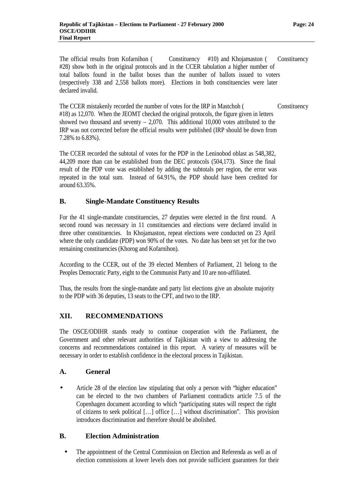The official results from Kofarnihon ( Constituency #10) and Khojamaston ( Constituency #28) show both in the original protocols and in the CCER tabulation a higher number of total ballots found in the ballot boxes than the number of ballots issued to voters (respectively 338 and 2,558 ballots more). Elections in both constituencies were later declared invalid.

The CCER mistakenly recorded the number of votes for the IRP in Mastchoh (Constituency #18) as 12,070. When the JEOMT checked the original protocols, the figure given in letters showed two thousand and seventy  $-2.070$ . This additional 10,000 votes attributed to the IRP was not corrected before the official results were published (IRP should be down from 7.28% to 6.83%).

The CCER recorded the subtotal of votes for the PDP in the Leninobod oblast as 548,382, 44,209 more than can be established from the DEC protocols (504,173). Since the final result of the PDP vote was established by adding the subtotals per region, the error was repeated in the total sum. Instead of 64.91%, the PDP should have been credited for around 63.35%.

#### **B. Single-Mandate Constituency Results**

For the 41 single-mandate constituencies, 27 deputies were elected in the first round. A second round was necessary in 11 constituencies and elections were declared invalid in three other constituencies. In Khojamaston, repeat elections were conducted on 23 April where the only candidate (PDP) won 90% of the votes. No date has been set yet for the two remaining constituencies (Khorog and Kofarnihon).

According to the CCER, out of the 39 elected Members of Parliament, 21 belong to the Peoples Democratic Party, eight to the Communist Party and 10 are non-affiliated.

Thus, the results from the single-mandate and party list elections give an absolute majority to the PDP with 36 deputies, 13 seats to the CPT, and two to the IRP.

#### **XII. RECOMMENDATIONS**

The OSCE/ODIHR stands ready to continue cooperation with the Parliament, the Government and other relevant authorities of Tajikistan with a view to addressing the concerns and recommendations contained in this report. A variety of measures will be necessary in order to establish confidence in the electoral process in Tajikistan.

#### **A. General**

• Article 28 of the election law stipulating that only a person with "higher education" can be elected to the two chambers of Parliament contradicts article 7.5 of the Copenhagen document according to which "participating states will respect the right of citizens to seek political [… ] office [… ] without discrimination". This provision introduces discrimination and therefore should be abolished.

## **B. Election Administration**

• The appointment of the Central Commission on Election and Referenda as well as of election commissions at lower levels does not provide sufficient guarantees for their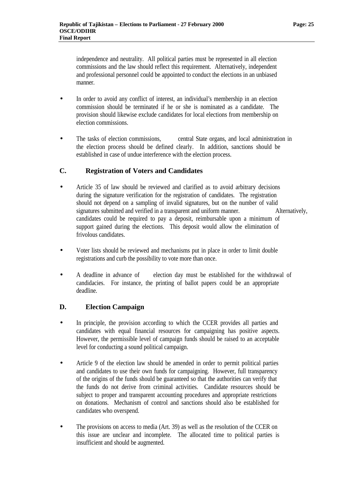independence and neutrality. All political parties must be represented in all election commissions and the law should reflect this requirement. Alternatively, independent and professional personnel could be appointed to conduct the elections in an unbiased manner.

- In order to avoid any conflict of interest, an individual's membership in an election commission should be terminated if he or she is nominated as a candidate. The provision should likewise exclude candidates for local elections from membership on election commissions.
- The tasks of election commissions, central State organs, and local administration in the election process should be defined clearly. In addition, sanctions should be established in case of undue interference with the election process.

## **C. Registration of Voters and Candidates**

- Article 35 of law should be reviewed and clarified as to avoid arbitrary decisions during the signature verification for the registration of candidates. The registration should not depend on a sampling of invalid signatures, but on the number of valid signatures submitted and verified in a transparent and uniform manner. Alternatively, candidates could be required to pay a deposit, reimbursable upon a minimum of support gained during the elections. This deposit would allow the elimination of frivolous candidates.
- Voter lists should be reviewed and mechanisms put in place in order to limit double registrations and curb the possibility to vote more than once.
- A deadline in advance of election day must be established for the withdrawal of candidacies. For instance, the printing of ballot papers could be an appropriate deadline.

## **D. Election Campaign**

- In principle, the provision according to which the CCER provides all parties and candidates with equal financial resources for campaigning has positive aspects. However, the permissible level of campaign funds should be raised to an acceptable level for conducting a sound political campaign.
- Article 9 of the election law should be amended in order to permit political parties and candidates to use their own funds for campaigning. However, full transparency of the origins of the funds should be guaranteed so that the authorities can verify that the funds do not derive from criminal activities. Candidate resources should be subject to proper and transparent accounting procedures and appropriate restrictions on donations. Mechanism of control and sanctions should also be established for candidates who overspend.
- The provisions on access to media (Art. 39) as well as the resolution of the CCER on this issue are unclear and incomplete. The allocated time to political parties is insufficient and should be augmented.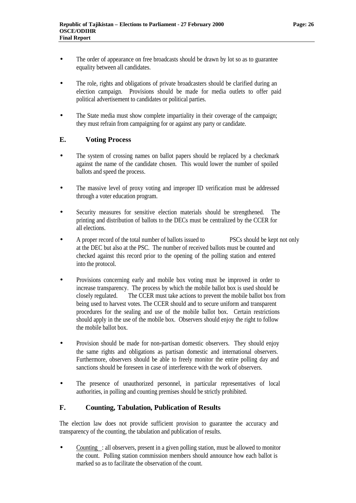- The order of appearance on free broadcasts should be drawn by lot so as to guarantee equality between all candidates.
- The role, rights and obligations of private broadcasters should be clarified during an election campaign. Provisions should be made for media outlets to offer paid political advertisement to candidates or political parties.
- The State media must show complete impartiality in their coverage of the campaign; they must refrain from campaigning for or against any party or candidate.

## **E. Voting Process**

- The system of crossing names on ballot papers should be replaced by a checkmark against the name of the candidate chosen. This would lower the number of spoiled ballots and speed the process.
- The massive level of proxy voting and improper ID verification must be addressed through a voter education program.
- Security measures for sensitive election materials should be strengthened. The printing and distribution of ballots to the DECs must be centralized by the CCER for all elections.
- A proper record of the total number of ballots issued to PSCs should be kept not only at the DEC but also at the PSC. The number of received ballots must be counted and checked against this record prior to the opening of the polling station and entered into the protocol.
- Provisions concerning early and mobile box voting must be improved in order to increase transparency. The process by which the mobile ballot box is used should be closely regulated. The CCER must take actions to prevent the mobile ballot box from being used to harvest votes. The CCER should and to secure uniform and transparent procedures for the sealing and use of the mobile ballot box. Certain restrictions should apply in the use of the mobile box. Observers should enjoy the right to follow the mobile ballot box.
- Provision should be made for non-partisan domestic observers. They should enjoy the same rights and obligations as partisan domestic and international observers. Furthermore, observers should be able to freely monitor the entire polling day and sanctions should be foreseen in case of interference with the work of observers.
- The presence of unauthorized personnel, in particular representatives of local authorities, in polling and counting premises should be strictly prohibited.

#### **F. Counting, Tabulation, Publication of Results**

The election law does not provide sufficient provision to guarantee the accuracy and transparency of the counting, the tabulation and publication of results.

• Counting : all observers, present in a given polling station, must be allowed to monitor the count. Polling station commission members should announce how each ballot is marked so as to facilitate the observation of the count.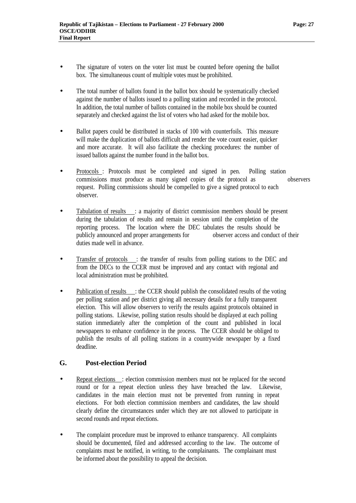- The signature of voters on the voter list must be counted before opening the ballot box. The simultaneous count of multiple votes must be prohibited.
- The total number of ballots found in the ballot box should be systematically checked against the number of ballots issued to a polling station and recorded in the protocol. In addition, the total number of ballots contained in the mobile box should be counted separately and checked against the list of voters who had asked for the mobile box.
- Ballot papers could be distributed in stacks of 100 with counterfoils. This measure will make the duplication of ballots difficult and render the vote count easier, quicker and more accurate. It will also facilitate the checking procedures: the number of issued ballots against the number found in the ballot box.
- Protocols : Protocols must be completed and signed in pen. Polling station commissions must produce as many signed copies of the protocol as observers request. Polling commissions should be compelled to give a signed protocol to each observer.
- Tabulation of results : a majority of district commission members should be present during the tabulation of results and remain in session until the completion of the reporting process. The location where the DEC tabulates the results should be publicly announced and proper arrangements for observer access and conduct of their duties made well in advance.
- Transfer of protocols : the transfer of results from polling stations to the DEC and from the DECs to the CCER must be improved and any contact with regional and local administration must be prohibited.
- Publication of results : the CCER should publish the consolidated results of the voting per polling station and per district giving all necessary details for a fully transparent election. This will allow observers to verify the results against protocols obtained in polling stations. Likewise, polling station results should be displayed at each polling station immediately after the completion of the count and published in local newspapers to enhance confidence in the process. The CCER should be obliged to publish the results of all polling stations in a countrywide newspaper by a fixed deadline.

## **G. Post-election Period**

- Repeat elections : election commission members must not be replaced for the second round or for a repeat election unless they have breached the law. Likewise, candidates in the main election must not be prevented from running in repeat elections. For both election commission members and candidates, the law should clearly define the circumstances under which they are not allowed to participate in second rounds and repeat elections.
- The complaint procedure must be improved to enhance transparency. All complaints should be documented, filed and addressed according to the law. The outcome of complaints must be notified, in writing, to the complainants. The complainant must be informed about the possibility to appeal the decision.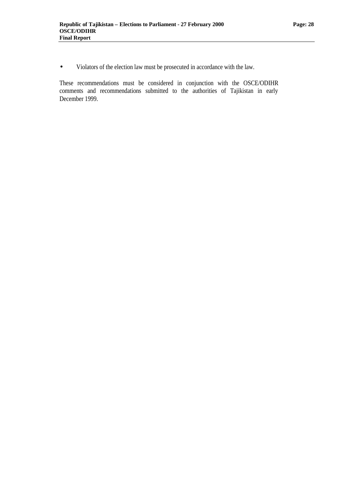• Violators of the election law must be prosecuted in accordance with the law.

These recommendations must be considered in conjunction with the OSCE/ODIHR comments and recommendations submitted to the authorities of Tajikistan in early December 1999.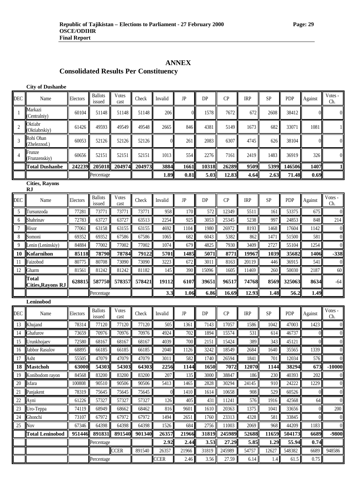## **Consolidated Results Per Constituency**

**City of Dushanbe**

| <b>DEC</b>                  | Name                              | Electors | <b>Ballots</b><br>issued | <b>Votes</b><br>cast | Check  | Invalid        | JP        | DP         | $\mathbf{C}$ | <b>IRP</b> | <b>SP</b> | <b>PDP</b> | Against        | Votes -<br>Ch.   |
|-----------------------------|-----------------------------------|----------|--------------------------|----------------------|--------|----------------|-----------|------------|--------------|------------|-----------|------------|----------------|------------------|
| $\mathbf{1}$                | Markazi<br>(Centralniy)           | 60104    | 51148                    | 51148                | 51148  | 206            | $\Omega$  | 1578       | 7672         | 672        | 2608      | 38412      |                | $\overline{0}$   |
| $\overline{2}$              | Oktiabr<br>(Oktiabrskiv)          | 61426    | 49593                    | 49549                | 49548  | 2665           | 846       | 4381       | 5149         | 1673       | 682       | 33071      | 1081           | 1                |
| 3                           | Rohi Ohan<br>(Zheleznod.)         | 60053    | 52126                    | 52126                | 52126  | $\overline{0}$ | 261       | 2083       | 6307         | 4745       | 626       | 38104      |                | $\boldsymbol{0}$ |
| $\overline{4}$              | Frunze<br>(Frunzenskiy)           | 60656    | 52151                    | 52151                | 52151  | 1013           | 554       | 2276       | 7161         | 2419       | 1483      | 36919      | 326            | $\overline{0}$   |
|                             | <b>Total Dushanbe</b>             | 242239   | 205018                   | 204974               | 204973 | 3884           | 1661      | 10318      | 26289        | 9509       | 5399      | 146506     | 1407           | 1                |
|                             |                                   |          | Percentage               |                      |        | 1.89           | 0.81      | 5.03       | 12.83        | 4.64       | 2.63      | 71.48      | 0.69           |                  |
| <b>Cities, Rayons</b><br>RJ |                                   |          |                          |                      |        |                |           |            |              |            |           |            |                |                  |
| DEC                         | Name                              | Electors | <b>Ballots</b><br>issued | <b>Votes</b><br>cast | Check  | Invalid        | $\rm{JP}$ | DP         | $\bf CP$     | <b>IRP</b> | SP        | <b>PDP</b> | Against        | Votes -<br>Ch.   |
| 5                           | Tursunzoda                        | 77281    | 73771                    | 73771                | 73771  | 958            | 170       | 572        | 12349        | 5511       | 161       | 53375      | 675            | $\overline{0}$   |
| 6                           | Shahrinav                         | 72783    | 63727                    | 63727                | 63513  | 2254           | 925       | 3053       | 25345        | 5238       | 997       | 24853      | 848            | 214              |
| 7                           | Hisor                             | 77061    | 63158                    | 63155                | 63155  | 4692           | 1104      | 1980       | 26972        | 8193       | 1468      | 17604      | 1142           | $\boldsymbol{0}$ |
| 8                           | Somoni                            | 69352    | 69352                    | 67586                | 67586  | 1065           | 682       | 6043       | 5382         | 862        | 1471      | 51500      | 581            | $\overline{0}$   |
| 9                           | Lenin (Leninskiy)                 | 84884    | 77002                    | 77002                | 77002  | 1074           | 679       | 4825       | 7930         | 3409       | 2727      | 55104      | 1254           | $\boldsymbol{0}$ |
| 10                          | Kofarnihon                        | 85118    | 78790                    | 78784                | 79122  | 5701           | 1485      | 5071       | 8771         | 19967      | 1039      | 35682      | 1406           | $-338$           |
| 11                          | Faizobod                          | 80775    | 80708                    | 73090                | 73090  | 3223           | 672       | 3011       | 8163         | 20119      | 446       | 36915      | 541            | $\theta$         |
| 12                          | Gharm                             | 81561    | 81242                    | 81242                | 81182  | 145            | 390       | 15096      | 1605         | 11469      | 260       | 50030      | 2187           | 60               |
|                             | Total<br><b>Cities, Rayons RJ</b> | 628815   | 587750                   | 578357               | 578421 | 19112          | 6107      | 39651      | 96517        | 74768      | 8569      | 325063     | 8634           | $-64$            |
|                             |                                   |          | Percentage               |                      |        | 3.3            | 1.06      | 6.86       | 16.69        | 12.93      | 1.48      | 56.2       | 1.49           |                  |
|                             | Leninobod                         |          |                          |                      |        |                |           |            |              |            |           |            |                |                  |
| DEC                         | Name                              | Electors | <b>Ballots</b><br>issued | <b>Votes</b><br>cast | Check  | Invalid        | $\rm{JP}$ | ${\rm DP}$ | $\mathbf{C}$ | <b>IRP</b> | SP        | <b>PDP</b> | Against        | Votes -<br>Ch.   |
| 13                          | Khujand                           | 78314    | 77120                    | 77120                | 77120  | 505            | 1361      | 7143       | 17057        | 1586       | 1042      | 47003      | 1423           | $\overline{0}$   |
| 14                          | Ghafurov                          | 73659    | 70976                    | 70976                | 70976  | 4924           | 702       | 1894       | 15574        | 531        | 614       | 46737      |                | $\boldsymbol{0}$ |
| 15                          | Urunkhojaev                       | 72580    | 68167                    | 68167                | 68167  | 4039           | 700       | 2151       | 15424        | 389        | 343       | 45121      | $\Omega$       | $\boldsymbol{0}$ |
| 16                          | <b>Jabbor Rasulov</b>             | 68895    | 66185                    | 66185                | 66185  | 2040           | 1126      | 3242       | 18549        | 2684       | 1640      | 35565      | 1339           | $\boldsymbol{0}$ |
|                             | 17 Asht                           | 55505    | 47079                    | 47079                | 47079  | 3011           | 582       | 1740       | 26594        | 1841       | 701       | 12034      | 576            | $\boldsymbol{0}$ |
| 18                          | <b>Mastchoh</b>                   | 63000    | 54303                    | 54303                | 64303  | 2256           | 1144      | 1650       | 7072         | 12070      | 1144      | 38294      | 673            | $-10000$         |
| 19                          | Konibodom rayon                   | 84568    | 83200                    | 83200                | 83200  | 207            | 135       | 3000       | 38847        | 186        | 230       | 40393      | 202            | $\boldsymbol{0}$ |
| 20                          | Isfara                            | 100808   | 90510                    | 90506                | 90506  | 5413           | 1465      | 2828       | 30294        | 24145      | 910       | 24222      | 1229           | $\boldsymbol{0}$ |
| 21                          | Panjakent                         | 78319    | 75645                    | 75645                | 75645  | $\mathbf{0}$   | 1410      | 1614       | 10658        | 908        | 529       | 60526      | $\theta$       | $\boldsymbol{0}$ |
| 22                          | Ayni                              | 61226    | 57327                    | 57327                | 57327  | 126            | 405       | 431        | 11241        | 576        | 1916      | 42568      | 64             | $\boldsymbol{0}$ |
| 23                          | Uro-Teppa                         | 74119    | 68949                    | 68662                | 68462  | 816            | 9601      | 1610       | 20363        | 1375       | 1041      | 33656      | $\Omega$       | 200              |
| 24                          | Ghonchi                           | 73107    | 67972                    | 67972                | 67972  | 1494           | 2651      | 1760       | 23313        | 4328       | 581       | 33845      | $\overline{0}$ | $\boldsymbol{0}$ |
| 25                          | <b>Nov</b>                        | 67346    | 64398                    | 64398                | 64398  | 1526           | 684       | 2756       | 11003        | 2069       | 968       | 44209      | 1183           | $\boldsymbol{0}$ |
|                             | <b>Total Leninobod</b>            | 951446   | 891831                   | 891540               | 901340 | 26357          | 21966     | 31819      | 245989       | 52688      | 11659     | 504173     | 6689           | $-9800$          |
|                             |                                   |          | Percentage               |                      |        | 2.92           | 2.44      | 3.53       | 27.29        | 5.85       | 1.29      | 55.94      | 0.74           |                  |
|                             |                                   |          |                          | <b>CCER</b>          | 891540 | 26357          | 21966     | 31819      | 245989       | 54757      | 12627     | 548382     | 6689           | 948586           |
|                             |                                   |          | Percentage               |                      |        | <b>CCER</b>    | 2.46      | 3.56       | 27.59        | 6.14       | $1.4\,$   | 61.5       | 0.75           |                  |